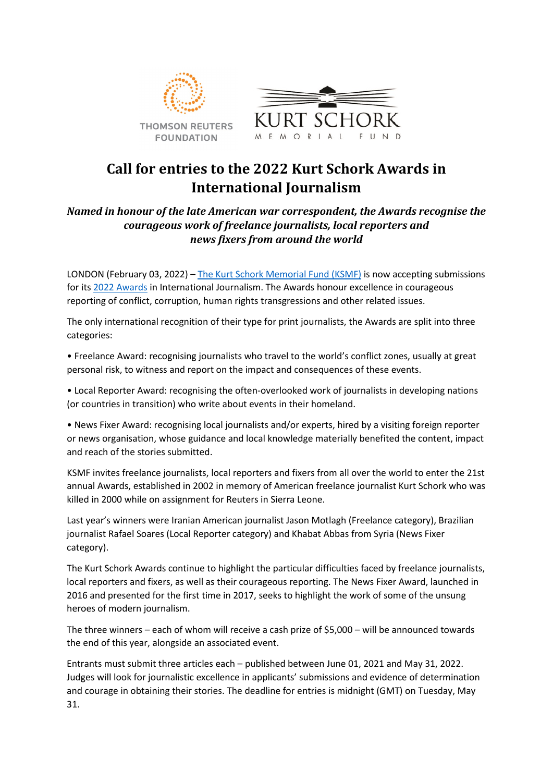



# **Call for entries to the 2022 Kurt Schork Awards in International Journalism**

## *Named in honour of the late American war correspondent, the Awards recognise the courageous work of freelance journalists, local reporters and news fixers from around the world*

LONDON (February 03, 2022) – [The Kurt Schork Memorial Fund \(KSMF\)](http://www.ksmfund.org/) is now accepting submissions for its 2022 [Awards](https://www.ksmfund.org/2022-awards) in International Journalism. The Awards honour excellence in courageous reporting of conflict, corruption, human rights transgressions and other related issues.

The only international recognition of their type for print journalists, the Awards are split into three categories:

• Freelance Award: recognising journalists who travel to the world's conflict zones, usually at great personal risk, to witness and report on the impact and consequences of these events.

• Local Reporter Award: recognising the often-overlooked work of journalists in developing nations (or countries in transition) who write about events in their homeland.

• News Fixer Award: recognising local journalists and/or experts, hired by a visiting foreign reporter or news organisation, whose guidance and local knowledge materially benefited the content, impact and reach of the stories submitted.

KSMF invites freelance journalists, local reporters and fixers from all over the world to enter the 21st annual Awards, established in 2002 in memory of American freelance journalist Kurt Schork who was killed in 2000 while on assignment for Reuters in Sierra Leone.

Last year's winners were Iranian American journalist Jason Motlagh (Freelance category), Brazilian journalist Rafael Soares (Local Reporter category) and Khabat Abbas from Syria (News Fixer category).

The Kurt Schork Awards continue to highlight the particular difficulties faced by freelance journalists, local reporters and fixers, as well as their courageous reporting. The News Fixer Award, launched in 2016 and presented for the first time in 2017, seeks to highlight the work of some of the unsung heroes of modern journalism.

The three winners – each of whom will receive a cash prize of \$5,000 – will be announced towards the end of this year, alongside an associated event.

Entrants must submit three articles each – published between June 01, 2021 and May 31, 2022. Judges will look for journalistic excellence in applicants' submissions and evidence of determination and courage in obtaining their stories. The deadline for entries is midnight (GMT) on Tuesday, May 31.